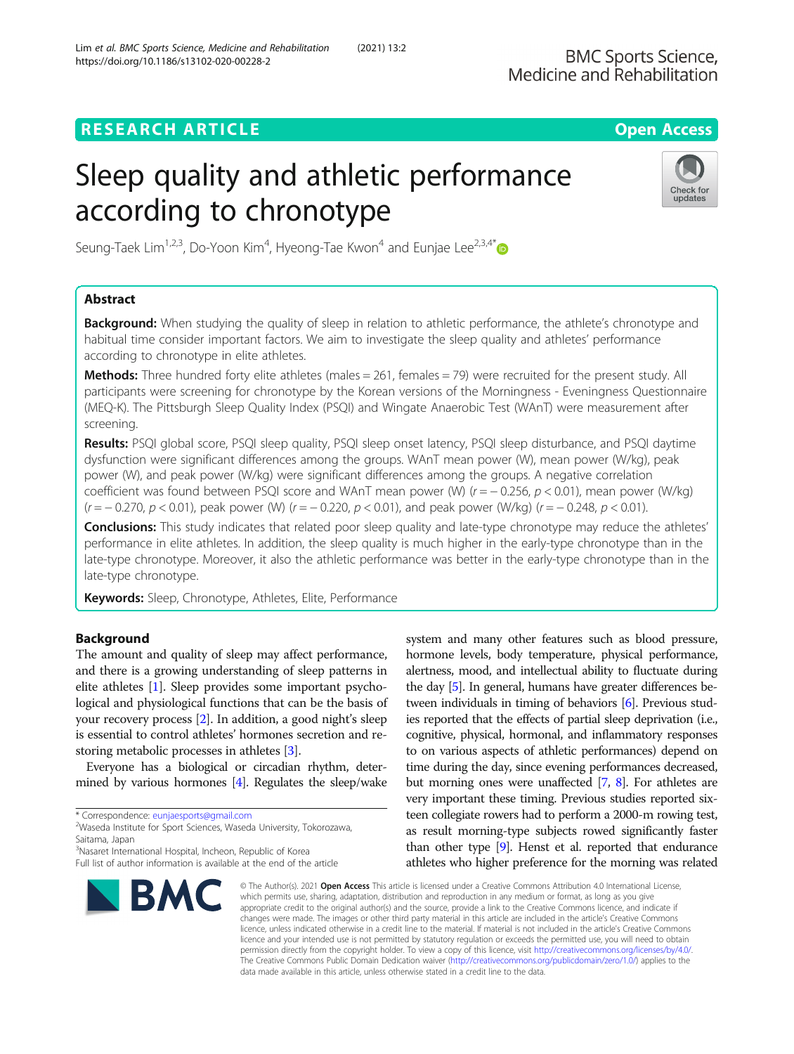# **RESEARCH ARTICLE Example 2014 12:30 The Contract of Contract ACCESS**

# Sleep quality and athletic performance according to chronotype



Seung-Taek Lim<sup>1,2,3</sup>, Do-Yoon Kim<sup>4</sup>, Hyeong-Tae Kwon<sup>4</sup> and Eunjae Lee<sup>2,3,4\*</sup>

# Abstract

**Background:** When studying the quality of sleep in relation to athletic performance, the athlete's chronotype and habitual time consider important factors. We aim to investigate the sleep quality and athletes' performance according to chronotype in elite athletes.

**Methods:** Three hundred forty elite athletes (males  $= 261$ , females  $= 79$ ) were recruited for the present study. All participants were screening for chronotype by the Korean versions of the Morningness - Eveningness Questionnaire (MEQ-K). The Pittsburgh Sleep Quality Index (PSQI) and Wingate Anaerobic Test (WAnT) were measurement after screening.

Results: PSQI global score, PSQI sleep quality, PSQI sleep onset latency, PSQI sleep disturbance, and PSQI daytime dysfunction were significant differences among the groups. WAnT mean power (W), mean power (W/kg), peak power (W), and peak power (W/kg) were significant differences among the groups. A negative correlation coefficient was found between PSQI score and WAnT mean power (W) ( $r = -0.256$ ,  $p < 0.01$ ), mean power (W/kg)  $(r = -0.270, p < 0.01)$ , peak power (W)  $(r = -0.220, p < 0.01)$ , and peak power (W/kg)  $(r = -0.248, p < 0.01)$ .

**Conclusions:** This study indicates that related poor sleep quality and late-type chronotype may reduce the athletes' performance in elite athletes. In addition, the sleep quality is much higher in the early-type chronotype than in the late-type chronotype. Moreover, it also the athletic performance was better in the early-type chronotype than in the late-type chronotype.

Keywords: Sleep, Chronotype, Athletes, Elite, Performance

# Background

The amount and quality of sleep may affect performance, and there is a growing understanding of sleep patterns in elite athletes [\[1](#page-5-0)]. Sleep provides some important psychological and physiological functions that can be the basis of your recovery process [[2\]](#page-5-0). In addition, a good night's sleep is essential to control athletes' hormones secretion and restoring metabolic processes in athletes [[3\]](#page-5-0).

Everyone has a biological or circadian rhythm, determined by various hormones [\[4\]](#page-6-0). Regulates the sleep/wake

<sup>&</sup>lt;sup>3</sup>Nasaret International Hospital, Incheon, Republic of Korea Full list of author information is available at the end of the article



system and many other features such as blood pressure, hormone levels, body temperature, physical performance, alertness, mood, and intellectual ability to fluctuate during the day [\[5](#page-6-0)]. In general, humans have greater differences between individuals in timing of behaviors [\[6\]](#page-6-0). Previous studies reported that the effects of partial sleep deprivation (i.e., cognitive, physical, hormonal, and inflammatory responses to on various aspects of athletic performances) depend on time during the day, since evening performances decreased, but morning ones were unaffected [\[7](#page-6-0), [8\]](#page-6-0). For athletes are very important these timing. Previous studies reported sixteen collegiate rowers had to perform a 2000-m rowing test, as result morning-type subjects rowed significantly faster than other type [\[9\]](#page-6-0). Henst et al. reported that endurance athletes who higher preference for the morning was related

© The Author(s), 2021 **Open Access** This article is licensed under a Creative Commons Attribution 4.0 International License, which permits use, sharing, adaptation, distribution and reproduction in any medium or format, as long as you give appropriate credit to the original author(s) and the source, provide a link to the Creative Commons licence, and indicate if changes were made. The images or other third party material in this article are included in the article's Creative Commons licence, unless indicated otherwise in a credit line to the material. If material is not included in the article's Creative Commons licence and your intended use is not permitted by statutory regulation or exceeds the permitted use, you will need to obtain permission directly from the copyright holder. To view a copy of this licence, visit [http://creativecommons.org/licenses/by/4.0/.](http://creativecommons.org/licenses/by/4.0/) The Creative Commons Public Domain Dedication waiver [\(http://creativecommons.org/publicdomain/zero/1.0/](http://creativecommons.org/publicdomain/zero/1.0/)) applies to the data made available in this article, unless otherwise stated in a credit line to the data.

<sup>\*</sup> Correspondence: [eunjaesports@gmail.com](mailto:eunjaesports@gmail.com) <sup>2</sup>

Waseda Institute for Sport Sciences, Waseda University, Tokorozawa, Saitama, Japan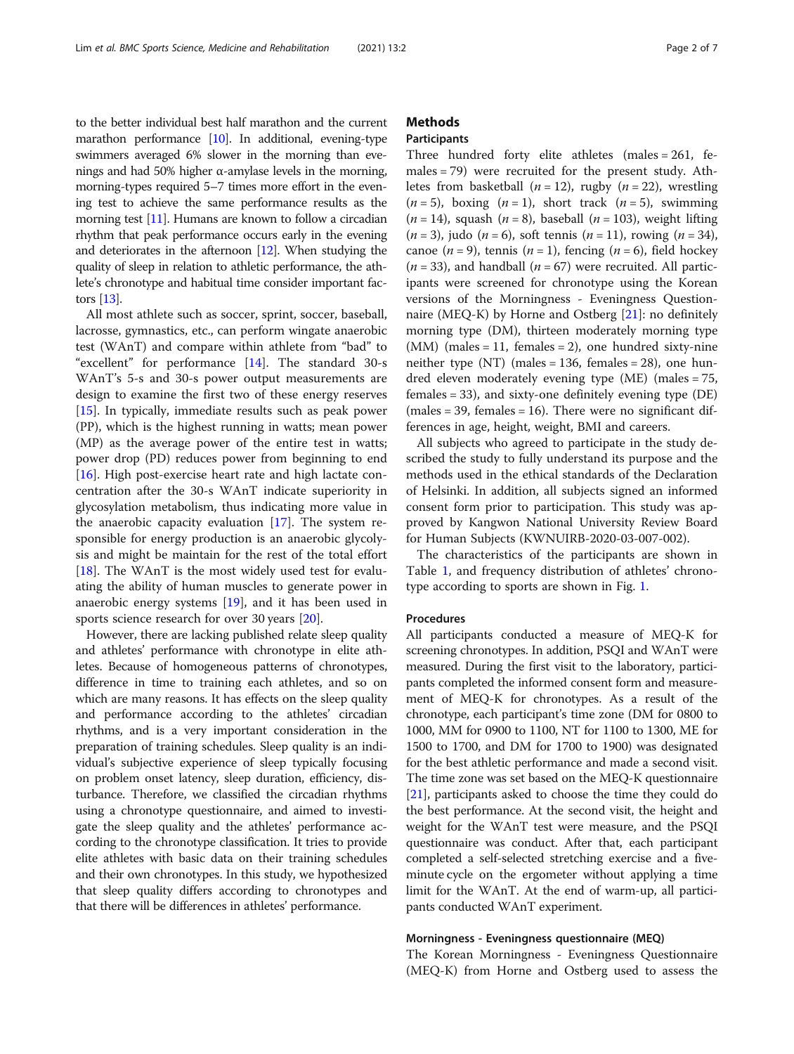to the better individual best half marathon and the current marathon performance [\[10\]](#page-6-0). In additional, evening-type swimmers averaged 6% slower in the morning than evenings and had 50% higher α-amylase levels in the morning, morning-types required 5–7 times more effort in the evening test to achieve the same performance results as the morning test [[11](#page-6-0)]. Humans are known to follow a circadian rhythm that peak performance occurs early in the evening and deteriorates in the afternoon  $[12]$  $[12]$  $[12]$ . When studying the quality of sleep in relation to athletic performance, the athlete's chronotype and habitual time consider important factors [\[13\]](#page-6-0).

All most athlete such as soccer, sprint, soccer, baseball, lacrosse, gymnastics, etc., can perform wingate anaerobic test (WAnT) and compare within athlete from "bad" to "excellent" for performance [[14](#page-6-0)]. The standard 30-s WAnT's 5-s and 30-s power output measurements are design to examine the first two of these energy reserves [[15\]](#page-6-0). In typically, immediate results such as peak power (PP), which is the highest running in watts; mean power (MP) as the average power of the entire test in watts; power drop (PD) reduces power from beginning to end [[16\]](#page-6-0). High post-exercise heart rate and high lactate concentration after the 30-s WAnT indicate superiority in glycosylation metabolism, thus indicating more value in the anaerobic capacity evaluation [[17\]](#page-6-0). The system responsible for energy production is an anaerobic glycolysis and might be maintain for the rest of the total effort [[18\]](#page-6-0). The WAnT is the most widely used test for evaluating the ability of human muscles to generate power in anaerobic energy systems [\[19](#page-6-0)], and it has been used in sports science research for over 30 years [\[20](#page-6-0)].

However, there are lacking published relate sleep quality and athletes' performance with chronotype in elite athletes. Because of homogeneous patterns of chronotypes, difference in time to training each athletes, and so on which are many reasons. It has effects on the sleep quality and performance according to the athletes' circadian rhythms, and is a very important consideration in the preparation of training schedules. Sleep quality is an individual's subjective experience of sleep typically focusing on problem onset latency, sleep duration, efficiency, disturbance. Therefore, we classified the circadian rhythms using a chronotype questionnaire, and aimed to investigate the sleep quality and the athletes' performance according to the chronotype classification. It tries to provide elite athletes with basic data on their training schedules and their own chronotypes. In this study, we hypothesized that sleep quality differs according to chronotypes and that there will be differences in athletes' performance.

# **Methods**

# Participants

Three hundred forty elite athletes (males = 261, females = 79) were recruited for the present study. Athletes from basketball ( $n = 12$ ), rugby ( $n = 22$ ), wrestling  $(n = 5)$ , boxing  $(n = 1)$ , short track  $(n = 5)$ , swimming  $(n = 14)$ , squash  $(n = 8)$ , baseball  $(n = 103)$ , weight lifting  $(n = 3)$ , judo  $(n = 6)$ , soft tennis  $(n = 11)$ , rowing  $(n = 34)$ , canoe  $(n = 9)$ , tennis  $(n = 1)$ , fencing  $(n = 6)$ , field hockey  $(n = 33)$ , and handball  $(n = 67)$  were recruited. All participants were screened for chronotype using the Korean versions of the Morningness - Eveningness Questionnaire (MEQ-K) by Horne and Ostberg [\[21\]](#page-6-0): no definitely morning type (DM), thirteen moderately morning type  $(MM)$  (males = 11, females = 2), one hundred sixty-nine neither type (NT) (males = 136, females = 28), one hundred eleven moderately evening type (ME) (males = 75, females = 33), and sixty-one definitely evening type (DE)  $(males = 39, females = 16)$ . There were no significant differences in age, height, weight, BMI and careers.

All subjects who agreed to participate in the study described the study to fully understand its purpose and the methods used in the ethical standards of the Declaration of Helsinki. In addition, all subjects signed an informed consent form prior to participation. This study was approved by Kangwon National University Review Board for Human Subjects (KWNUIRB-2020-03-007-002).

The characteristics of the participants are shown in Table [1,](#page-2-0) and frequency distribution of athletes' chronotype according to sports are shown in Fig. [1.](#page-2-0)

# Procedures

All participants conducted a measure of MEQ-K for screening chronotypes. In addition, PSQI and WAnT were measured. During the first visit to the laboratory, participants completed the informed consent form and measurement of MEQ-K for chronotypes. As a result of the chronotype, each participant's time zone (DM for 0800 to 1000, MM for 0900 to 1100, NT for 1100 to 1300, ME for 1500 to 1700, and DM for 1700 to 1900) was designated for the best athletic performance and made a second visit. The time zone was set based on the MEQ-K questionnaire [[21](#page-6-0)], participants asked to choose the time they could do the best performance. At the second visit, the height and weight for the WAnT test were measure, and the PSQI questionnaire was conduct. After that, each participant completed a self-selected stretching exercise and a fiveminute cycle on the ergometer without applying a time limit for the WAnT. At the end of warm-up, all participants conducted WAnT experiment.

# Morningness - Eveningness questionnaire (MEQ)

The Korean Morningness - Eveningness Questionnaire (MEQ-K) from Horne and Ostberg used to assess the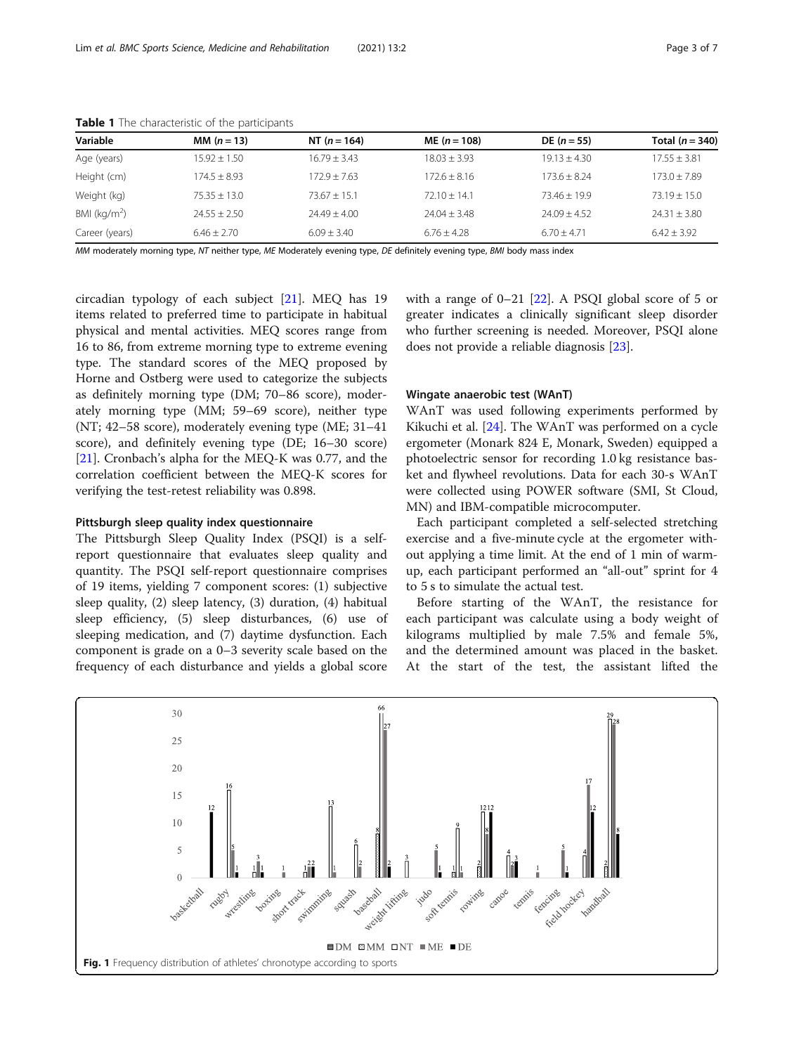| Variable        | MM $(n = 13)$  | NT $(n = 164)$ | ME $(n = 108)$                                                                                                                                                                                                                            | $DE (n = 55)$  | Total $(n = 340)$ |
|-----------------|----------------|----------------|-------------------------------------------------------------------------------------------------------------------------------------------------------------------------------------------------------------------------------------------|----------------|-------------------|
| Age (years)     | $15.92 + 1.50$ | $16.79 + 3.43$ | $18.03 + 3.93$                                                                                                                                                                                                                            | $19.13 + 4.30$ | $17.55 + 3.81$    |
| Height (cm)     | $174.5 + 8.93$ | $172.9 + 7.63$ | $172.6 + 8.16$                                                                                                                                                                                                                            | $173.6 + 8.24$ | $173.0 + 7.89$    |
| Weight (kg)     | $75.35 + 13.0$ | $73.67 + 15.1$ | $72.10 + 14.1$                                                                                                                                                                                                                            | $73.46 + 19.9$ | $73.19 + 15.0$    |
| BMI ( $kg/m2$ ) | $24.55 + 2.50$ | $74.49 + 4.00$ | $74.04 + 3.48$                                                                                                                                                                                                                            | $74.09 + 4.52$ | $74.31 + 3.80$    |
| Career (years)  | $6.46 + 2.70$  | $6.09 + 3.40$  | $6.76 + 4.28$                                                                                                                                                                                                                             | $6.70 + 4.71$  | $6.42 \pm 3.92$   |
|                 |                |                | $\mathcal{L}(M)$ . The state $\mathcal{L}(M)$ is the state of the state of the state of the state of the state of the state of the state of the state of the state of the state of the state of the state of the state of the state of th |                |                   |

<span id="page-2-0"></span>Table 1 The characteristic of the participants

MM moderately morning type, NT neither type, ME Moderately evening type, DE definitely evening type, BMI body mass index

circadian typology of each subject [[21](#page-6-0)]. MEQ has 19 items related to preferred time to participate in habitual physical and mental activities. MEQ scores range from 16 to 86, from extreme morning type to extreme evening type. The standard scores of the MEQ proposed by Horne and Ostberg were used to categorize the subjects as definitely morning type (DM; 70–86 score), moderately morning type (MM; 59–69 score), neither type (NT; 42–58 score), moderately evening type (ME; 31–41 score), and definitely evening type (DE; 16–30 score) [[21\]](#page-6-0). Cronbach's alpha for the MEQ-K was 0.77, and the correlation coefficient between the MEQ-K scores for verifying the test-retest reliability was 0.898.

# Pittsburgh sleep quality index questionnaire

The Pittsburgh Sleep Quality Index (PSQI) is a selfreport questionnaire that evaluates sleep quality and quantity. The PSQI self-report questionnaire comprises of 19 items, yielding 7 component scores: (1) subjective sleep quality, (2) sleep latency, (3) duration, (4) habitual sleep efficiency, (5) sleep disturbances, (6) use of sleeping medication, and (7) daytime dysfunction. Each component is grade on a 0–3 severity scale based on the frequency of each disturbance and yields a global score

with a range of  $0-21$  [[22](#page-6-0)]. A PSQI global score of 5 or greater indicates a clinically significant sleep disorder who further screening is needed. Moreover, PSQI alone does not provide a reliable diagnosis [[23\]](#page-6-0).

# Wingate anaerobic test (WAnT)

WAnT was used following experiments performed by Kikuchi et al. [[24\]](#page-6-0). The WAnT was performed on a cycle ergometer (Monark 824 E, Monark, Sweden) equipped a photoelectric sensor for recording 1.0 kg resistance basket and flywheel revolutions. Data for each 30-s WAnT were collected using POWER software (SMI, St Cloud, MN) and IBM-compatible microcomputer.

Each participant completed a self-selected stretching exercise and a five-minute cycle at the ergometer without applying a time limit. At the end of 1 min of warmup, each participant performed an "all-out" sprint for 4 to 5 s to simulate the actual test.

Before starting of the WAnT, the resistance for each participant was calculate using a body weight of kilograms multiplied by male 7.5% and female 5%, and the determined amount was placed in the basket. At the start of the test, the assistant lifted the

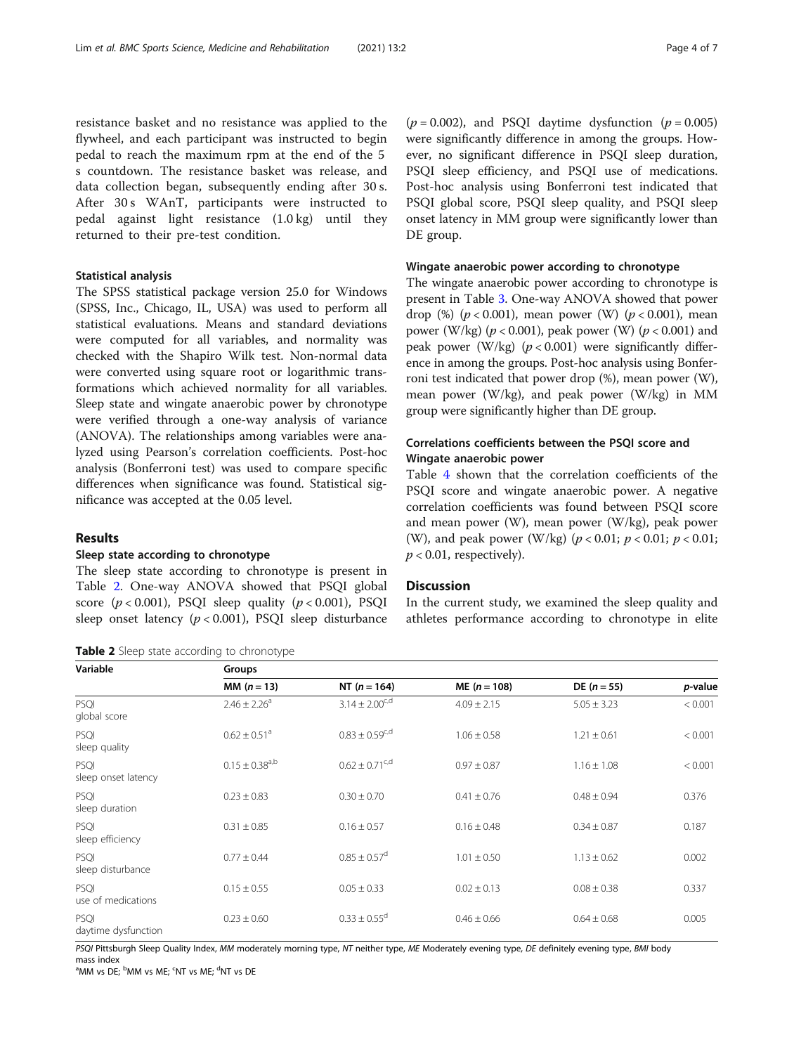<span id="page-3-0"></span>resistance basket and no resistance was applied to the flywheel, and each participant was instructed to begin pedal to reach the maximum rpm at the end of the 5 s countdown. The resistance basket was release, and data collection began, subsequently ending after 30 s. After 30 s WAnT, participants were instructed to pedal against light resistance (1.0 kg) until they returned to their pre-test condition.

# Statistical analysis

The SPSS statistical package version 25.0 for Windows (SPSS, Inc., Chicago, IL, USA) was used to perform all statistical evaluations. Means and standard deviations were computed for all variables, and normality was checked with the Shapiro Wilk test. Non-normal data were converted using square root or logarithmic transformations which achieved normality for all variables. Sleep state and wingate anaerobic power by chronotype were verified through a one-way analysis of variance (ANOVA). The relationships among variables were analyzed using Pearson's correlation coefficients. Post-hoc analysis (Bonferroni test) was used to compare specific differences when significance was found. Statistical significance was accepted at the 0.05 level.

# Results

# Sleep state according to chronotype

The sleep state according to chronotype is present in Table 2. One-way ANOVA showed that PSQI global score  $(p < 0.001)$ , PSQI sleep quality  $(p < 0.001)$ , PSQI sleep onset latency  $(p < 0.001)$ , PSQI sleep disturbance

| Table 2 Sleep state according to chronotype |  |  |
|---------------------------------------------|--|--|
|---------------------------------------------|--|--|

 $(p = 0.002)$ , and PSQI daytime dysfunction  $(p = 0.005)$ were significantly difference in among the groups. However, no significant difference in PSQI sleep duration, PSQI sleep efficiency, and PSQI use of medications. Post-hoc analysis using Bonferroni test indicated that PSQI global score, PSQI sleep quality, and PSQI sleep onset latency in MM group were significantly lower than DE group.

# Wingate anaerobic power according to chronotype

The wingate anaerobic power according to chronotype is present in Table [3.](#page-4-0) One-way ANOVA showed that power drop (%) ( $p < 0.001$ ), mean power (W) ( $p < 0.001$ ), mean power (W/kg) ( $p < 0.001$ ), peak power (W) ( $p < 0.001$ ) and peak power (W/kg)  $(p < 0.001)$  were significantly difference in among the groups. Post-hoc analysis using Bonferroni test indicated that power drop (%), mean power (W), mean power (W/kg), and peak power (W/kg) in MM group were significantly higher than DE group.

# Correlations coefficients between the PSQI score and Wingate anaerobic power

Table [4](#page-4-0) shown that the correlation coefficients of the PSQI score and wingate anaerobic power. A negative correlation coefficients was found between PSQI score and mean power (W), mean power (W/kg), peak power (W), and peak power (W/kg) ( $p < 0.01$ ;  $p < 0.01$ ;  $p < 0.01$ ;  $p < 0.01$ , respectively).

# **Discussion**

In the current study, we examined the sleep quality and athletes performance according to chronotype in elite

| Variable                         | Groups                         |                              |                 |                 |         |  |
|----------------------------------|--------------------------------|------------------------------|-----------------|-----------------|---------|--|
|                                  | MM $(n = 13)$                  | NT $(n = 164)$               | $ME (n = 108)$  | $DE (n = 55)$   | p-value |  |
| PSQI<br>global score             | $2.46 \pm 2.26$ <sup>a</sup>   | $3.14 \pm 2.00^{c,d}$        | $4.09 \pm 2.15$ | $5.05 \pm 3.23$ | < 0.001 |  |
| PSQI<br>sleep quality            | $0.62 \pm 0.51$ <sup>a</sup>   | $0.83 \pm 0.59^{c,d}$        | $1.06 \pm 0.58$ | $1.21 \pm 0.61$ | < 0.001 |  |
| PSQI<br>sleep onset latency      | $0.15 \pm 0.38$ <sup>a,b</sup> | $0.62 \pm 0.71^{\text{c,d}}$ | $0.97 \pm 0.87$ | $1.16 \pm 1.08$ | < 0.001 |  |
| PSQI<br>sleep duration           | $0.23 \pm 0.83$                | $0.30 \pm 0.70$              | $0.41 \pm 0.76$ | $0.48 \pm 0.94$ | 0.376   |  |
| PSQI<br>sleep efficiency         | $0.31 \pm 0.85$                | $0.16 \pm 0.57$              | $0.16 \pm 0.48$ | $0.34 \pm 0.87$ | 0.187   |  |
| <b>PSOI</b><br>sleep disturbance | $0.77 \pm 0.44$                | $0.85 \pm 0.57$ <sup>d</sup> | $1.01 \pm 0.50$ | $1.13 \pm 0.62$ | 0.002   |  |
| PSOI<br>use of medications       | $0.15 \pm 0.55$                | $0.05 \pm 0.33$              | $0.02 \pm 0.13$ | $0.08 \pm 0.38$ | 0.337   |  |
| PSQI<br>daytime dysfunction      | $0.23 \pm 0.60$                | $0.33 \pm 0.55^{\circ}$      | $0.46 \pm 0.66$ | $0.64 \pm 0.68$ | 0.005   |  |

PSQI Pittsburgh Sleep Quality Index, MM moderately morning type, NT neither type, ME Moderately evening type, DE definitely evening type, BMI body mass index

<sup>a</sup>MM vs DE; <sup>b</sup>MM vs ME; <sup>c</sup>NT vs ME; <sup>d</sup>NT vs DE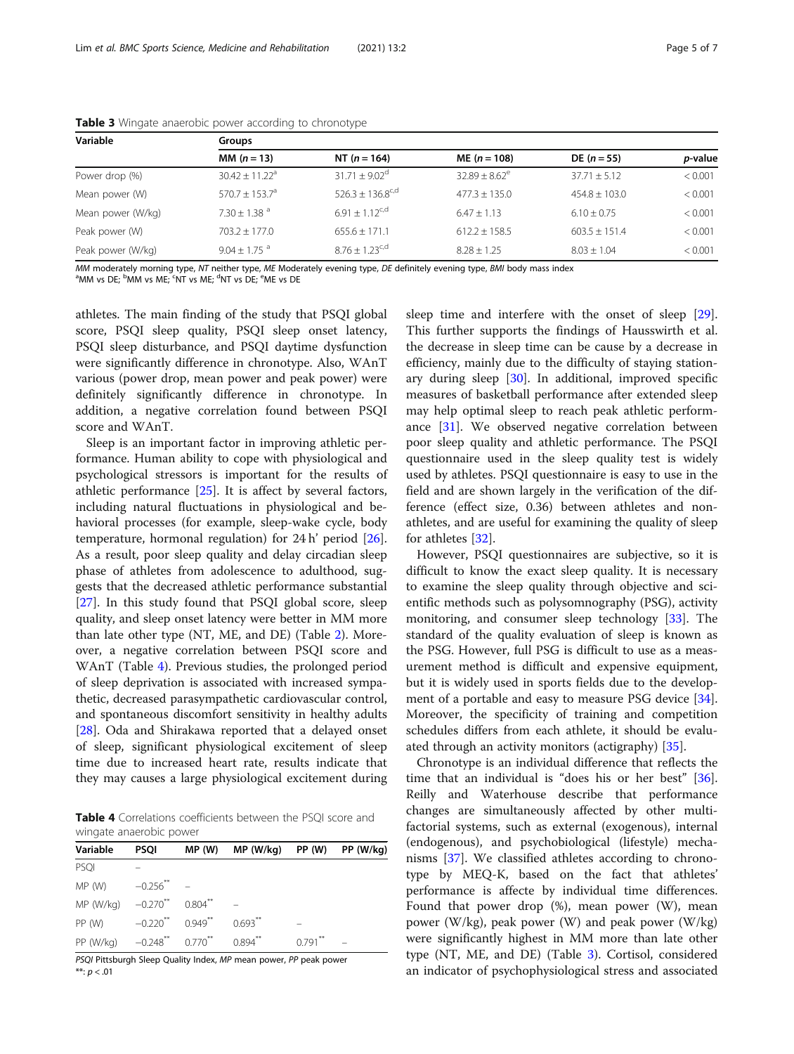| Variable          | <b>Groups</b>              |                          |                    |                   |                 |  |
|-------------------|----------------------------|--------------------------|--------------------|-------------------|-----------------|--|
|                   | <b>MM</b> $(n = 13)$       | NT $(n = 164)$           | $ME (n = 108)$     | $DE (n = 55)$     | <i>p</i> -value |  |
| Power drop (%)    | $30.42 \pm 11.22^a$        | $31.71 \pm 9.02^{\circ}$ | $32.89 \pm 8.62^e$ | $37.71 \pm 5.12$  | < 0.001         |  |
| Mean power (W)    | $570.7 + 153.7^{\circ}$    | $526.3 + 136.8^{c,d}$    | $477.3 + 135.0$    | $454.8 + 103.0$   | < 0.001         |  |
| Mean power (W/kg) | $7.30 + 1.38$ <sup>a</sup> | $691 + 112^{c,d}$        | $6.47 + 1.13$      | $6.10 + 0.75$     | < 0.001         |  |
| Peak power (W)    | $703.2 \pm 177.0$          | $655.6 \pm 171.1$        | $612.2 \pm 158.5$  | $603.5 \pm 151.4$ | < 0.001         |  |
| Peak power (W/kg) | $9.04 + 1.75$ <sup>a</sup> | $8.76 + 1.23^{c,d}$      | $8.28 + 1.25$      | $8.03 + 1.04$     | < 0.001         |  |

<span id="page-4-0"></span>Table 3 Wingate anaerobic power according to chronotype

MM moderately morning type, NT neither type, ME Moderately evening type, DE definitely evening type, BMI body mass index

MM vs DE; <sup>b</sup>MM vs ME; <sup>c</sup>NT vs ME; <sup>d</sup>NT vs DE; <sup>e</sup>ME vs DE

athletes. The main finding of the study that PSQI global score, PSQI sleep quality, PSQI sleep onset latency, PSQI sleep disturbance, and PSQI daytime dysfunction were significantly difference in chronotype. Also, WAnT various (power drop, mean power and peak power) were definitely significantly difference in chronotype. In addition, a negative correlation found between PSQI score and WAnT.

Sleep is an important factor in improving athletic performance. Human ability to cope with physiological and psychological stressors is important for the results of athletic performance [[25](#page-6-0)]. It is affect by several factors, including natural fluctuations in physiological and behavioral processes (for example, sleep-wake cycle, body temperature, hormonal regulation) for 24 h' period [\[26](#page-6-0)]. As a result, poor sleep quality and delay circadian sleep phase of athletes from adolescence to adulthood, suggests that the decreased athletic performance substantial [[27\]](#page-6-0). In this study found that PSQI global score, sleep quality, and sleep onset latency were better in MM more than late other type (NT, ME, and DE) (Table [2](#page-3-0)). Moreover, a negative correlation between PSQI score and WAnT (Table 4). Previous studies, the prolonged period of sleep deprivation is associated with increased sympathetic, decreased parasympathetic cardiovascular control, and spontaneous discomfort sensitivity in healthy adults [[28\]](#page-6-0). Oda and Shirakawa reported that a delayed onset of sleep, significant physiological excitement of sleep time due to increased heart rate, results indicate that they may causes a large physiological excitement during

Table 4 Correlations coefficients between the PSQI score and wingate anaerobic power

| Variable                         | <b>PSQI</b>            | MP(W)                 | $MP (W/kg)$ PP $(W)$ PP $(W/kg)$ |                      |  |
|----------------------------------|------------------------|-----------------------|----------------------------------|----------------------|--|
| PSQI                             |                        |                       |                                  |                      |  |
| MP(W)                            | $-0.256$ **            |                       |                                  |                      |  |
| MP (W/kg) $-0.270$ <sup>**</sup> |                        | $0.804$ <sup>**</sup> |                                  |                      |  |
| PP (W)                           | $-0.220$ <sup>**</sup> | $0.949**$             | $0.693$ <sup>**</sup>            |                      |  |
| PP (W/kg)                        | $-0.248$ ** $0.770$ ** |                       | $0.894$ <sup>**</sup>            | $0.791$ <sup>2</sup> |  |

PSQI Pittsburgh Sleep Quality Index, MP mean power, PP peak power \*\*:  $p < .01$ 

sleep time and interfere with the onset of sleep [\[29](#page-6-0)]. This further supports the findings of Hausswirth et al. the decrease in sleep time can be cause by a decrease in efficiency, mainly due to the difficulty of staying stationary during sleep  $[30]$  $[30]$ . In additional, improved specific measures of basketball performance after extended sleep may help optimal sleep to reach peak athletic performance  $[31]$  $[31]$ . We observed negative correlation between poor sleep quality and athletic performance. The PSQI questionnaire used in the sleep quality test is widely used by athletes. PSQI questionnaire is easy to use in the field and are shown largely in the verification of the difference (effect size, 0.36) between athletes and nonathletes, and are useful for examining the quality of sleep for athletes [[32](#page-6-0)].

However, PSQI questionnaires are subjective, so it is difficult to know the exact sleep quality. It is necessary to examine the sleep quality through objective and scientific methods such as polysomnography (PSG), activity monitoring, and consumer sleep technology [[33\]](#page-6-0). The standard of the quality evaluation of sleep is known as the PSG. However, full PSG is difficult to use as a measurement method is difficult and expensive equipment, but it is widely used in sports fields due to the development of a portable and easy to measure PSG device [\[34](#page-6-0)]. Moreover, the specificity of training and competition schedules differs from each athlete, it should be evaluated through an activity monitors (actigraphy) [[35\]](#page-6-0).

Chronotype is an individual difference that reflects the time that an individual is "does his or her best" [\[36](#page-6-0)]. Reilly and Waterhouse describe that performance changes are simultaneously affected by other multifactorial systems, such as external (exogenous), internal (endogenous), and psychobiological (lifestyle) mechanisms [[37\]](#page-6-0). We classified athletes according to chronotype by MEQ-K, based on the fact that athletes' performance is affecte by individual time differences. Found that power drop (%), mean power (W), mean power (W/kg), peak power (W) and peak power (W/kg) were significantly highest in MM more than late other type (NT, ME, and DE) (Table 3). Cortisol, considered an indicator of psychophysiological stress and associated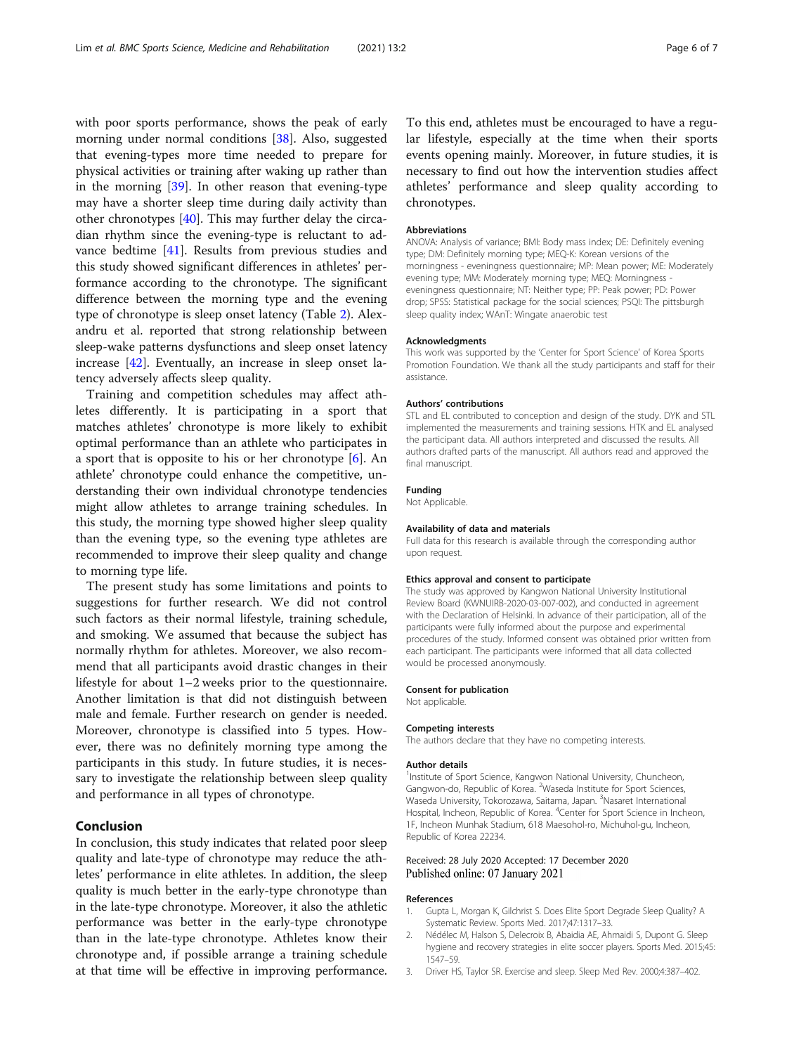<span id="page-5-0"></span>with poor sports performance, shows the peak of early morning under normal conditions [\[38](#page-6-0)]. Also, suggested that evening-types more time needed to prepare for physical activities or training after waking up rather than in the morning [[39](#page-6-0)]. In other reason that evening-type may have a shorter sleep time during daily activity than other chronotypes [\[40](#page-6-0)]. This may further delay the circadian rhythm since the evening-type is reluctant to advance bedtime [\[41](#page-6-0)]. Results from previous studies and this study showed significant differences in athletes' performance according to the chronotype. The significant difference between the morning type and the evening type of chronotype is sleep onset latency (Table [2\)](#page-3-0). Alexandru et al. reported that strong relationship between sleep-wake patterns dysfunctions and sleep onset latency increase [\[42](#page-6-0)]. Eventually, an increase in sleep onset latency adversely affects sleep quality.

Training and competition schedules may affect athletes differently. It is participating in a sport that matches athletes' chronotype is more likely to exhibit optimal performance than an athlete who participates in a sport that is opposite to his or her chronotype  $[6]$  $[6]$  $[6]$ . An athlete' chronotype could enhance the competitive, understanding their own individual chronotype tendencies might allow athletes to arrange training schedules. In this study, the morning type showed higher sleep quality than the evening type, so the evening type athletes are recommended to improve their sleep quality and change to morning type life.

The present study has some limitations and points to suggestions for further research. We did not control such factors as their normal lifestyle, training schedule, and smoking. We assumed that because the subject has normally rhythm for athletes. Moreover, we also recommend that all participants avoid drastic changes in their lifestyle for about 1–2 weeks prior to the questionnaire. Another limitation is that did not distinguish between male and female. Further research on gender is needed. Moreover, chronotype is classified into 5 types. However, there was no definitely morning type among the participants in this study. In future studies, it is necessary to investigate the relationship between sleep quality and performance in all types of chronotype.

# Conclusion

In conclusion, this study indicates that related poor sleep quality and late-type of chronotype may reduce the athletes' performance in elite athletes. In addition, the sleep quality is much better in the early-type chronotype than in the late-type chronotype. Moreover, it also the athletic performance was better in the early-type chronotype than in the late-type chronotype. Athletes know their chronotype and, if possible arrange a training schedule at that time will be effective in improving performance.

To this end, athletes must be encouraged to have a regular lifestyle, especially at the time when their sports events opening mainly. Moreover, in future studies, it is necessary to find out how the intervention studies affect athletes' performance and sleep quality according to chronotypes.

# Abbreviations

ANOVA: Analysis of variance; BMI: Body mass index; DE: Definitely evening type; DM: Definitely morning type; MEQ-K: Korean versions of the morningness - eveningness questionnaire; MP: Mean power; ME: Moderately evening type; MM: Moderately morning type; MEQ: Morningness eveningness questionnaire; NT: Neither type; PP: Peak power; PD: Power drop; SPSS: Statistical package for the social sciences; PSQI: The pittsburgh sleep quality index; WAnT: Wingate anaerobic test

### Acknowledgments

This work was supported by the 'Center for Sport Science' of Korea Sports Promotion Foundation. We thank all the study participants and staff for their assistance.

# Authors' contributions

STL and EL contributed to conception and design of the study. DYK and STL implemented the measurements and training sessions. HTK and EL analysed the participant data. All authors interpreted and discussed the results. All authors drafted parts of the manuscript. All authors read and approved the final manuscript.

#### Funding

Not Applicable.

### Availability of data and materials

Full data for this research is available through the corresponding author upon request.

# Ethics approval and consent to participate

The study was approved by Kangwon National University Institutional Review Board (KWNUIRB-2020-03-007-002), and conducted in agreement with the Declaration of Helsinki. In advance of their participation, all of the participants were fully informed about the purpose and experimental procedures of the study. Informed consent was obtained prior written from each participant. The participants were informed that all data collected would be processed anonymously.

#### Consent for publication

Not applicable.

#### Competing interests

The authors declare that they have no competing interests.

#### Author details

<sup>1</sup>Institute of Sport Science, Kangwon National University, Chuncheon, Gangwon-do, Republic of Korea. <sup>2</sup>Waseda Institute for Sport Sciences, Waseda University, Tokorozawa, Saitama, Japan. <sup>3</sup>Nasaret International Hospital, Incheon, Republic of Korea. <sup>4</sup>Center for Sport Science in Incheon 1F, Incheon Munhak Stadium, 618 Maesohol-ro, Michuhol-gu, Incheon, Republic of Korea 22234.

# Received: 28 July 2020 Accepted: 17 December 2020 Published online: 07 January 2021

# References

- 1. Gupta L, Morgan K, Gilchrist S. Does Elite Sport Degrade Sleep Quality? A Systematic Review. Sports Med. 2017;47:1317–33.
- 2. Nédélec M, Halson S, Delecroix B, Abaidia AE, Ahmaidi S, Dupont G. Sleep hygiene and recovery strategies in elite soccer players. Sports Med. 2015;45: 1547–59.
- 3. Driver HS, Taylor SR. Exercise and sleep. Sleep Med Rev. 2000;4:387–402.